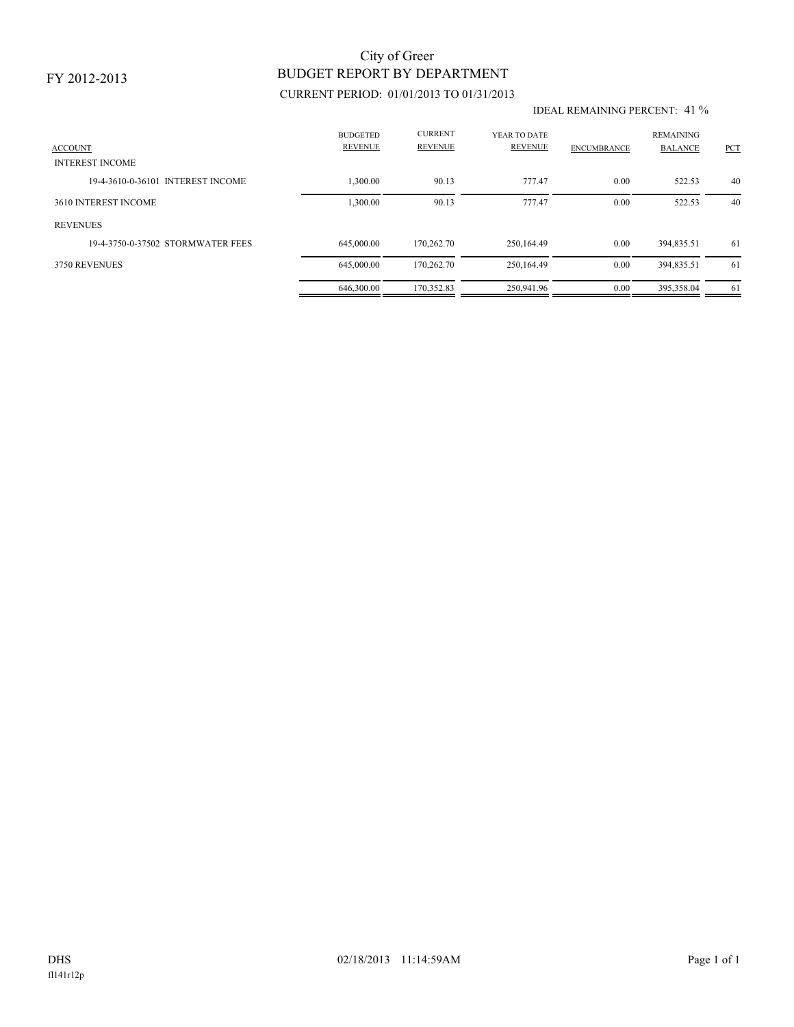### FY 2012-2013

# BUDGET REPORT BY DEPARTMENT City of Greer

## CURRENT PERIOD: 01/01/2013 TO 01/31/2013

#### IDEAL REMAINING PERCENT: 41 %

| <b>ACCOUNT</b><br><b>INTEREST INCOME</b> | <b>BUDGETED</b><br><b>REVENUE</b> | <b>CURRENT</b><br><b>REVENUE</b> | YEAR TO DATE<br><b>REVENUE</b> | <b>ENCUMBRANCE</b> | <b>REMAINING</b><br><b>BALANCE</b> | <b>PCT</b> |
|------------------------------------------|-----------------------------------|----------------------------------|--------------------------------|--------------------|------------------------------------|------------|
| 19-4-3610-0-36101 INTEREST INCOME        | 1.300.00                          | 90.13                            | 777.47                         | 0.00               | 522.53                             | 40         |
| 3610 INTEREST INCOME                     | 1,300.00                          | 90.13                            | 777.47                         | 0.00               | 522.53                             | 40         |
| <b>REVENUES</b>                          |                                   |                                  |                                |                    |                                    |            |
| 19-4-3750-0-37502 STORMWATER FEES        | 645,000.00                        | 170.262.70                       | 250,164.49                     | 0.00               | 394,835.51                         | -61        |
| 3750 REVENUES                            | 645,000.00                        | 170,262.70                       | 250,164.49                     | 0.00               | 394,835.51                         | -61        |
|                                          | 646,300.00                        | 170.352.83                       | 250,941.96                     | 0.00               | 395.358.04                         | -61        |